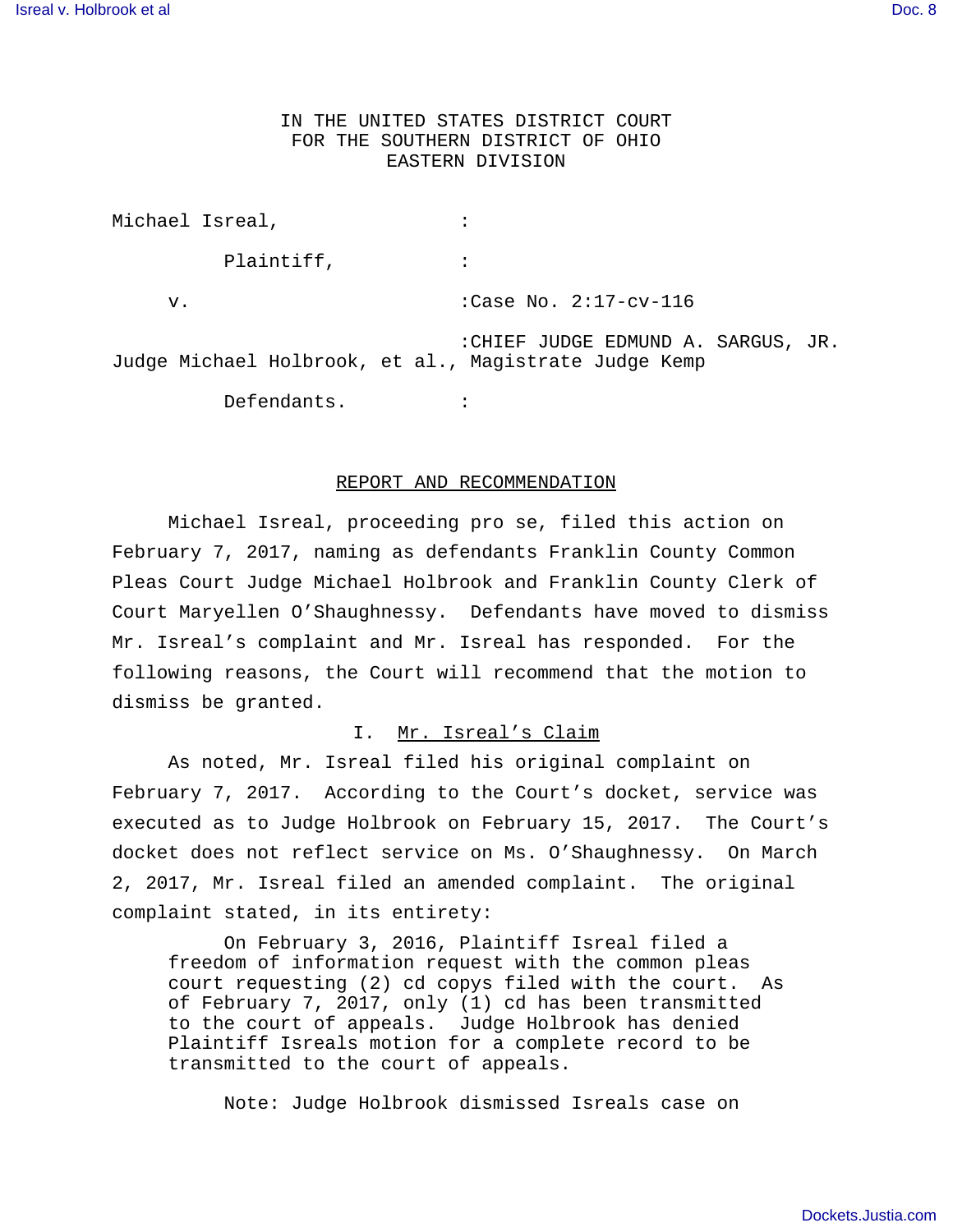## IN THE UNITED STATES DISTRICT COURT FOR THE SOUTHERN DISTRICT OF OHIO EASTERN DIVISION

Michael Isreal,  $\qquad \qquad :$ Plaintiff,  $\qquad \qquad :$ v.  $\begin{array}{ccc} \n\text{v.} & \text{case No.} & 2:17-\text{cv}-116\n\end{array}$  :CHIEF JUDGE EDMUND A. SARGUS, JR. Judge Michael Holbrook, et al., Magistrate Judge Kemp Defendants. :

#### REPORT AND RECOMMENDATION

Michael Isreal, proceeding pro se, filed this action on February 7, 2017, naming as defendants Franklin County Common Pleas Court Judge Michael Holbrook and Franklin County Clerk of Court Maryellen O'Shaughnessy. Defendants have moved to dismiss Mr. Isreal's complaint and Mr. Isreal has responded. For the following reasons, the Court will recommend that the motion to dismiss be granted.

### I. Mr. Isreal's Claim

As noted, Mr. Isreal filed his original complaint on February 7, 2017. According to the Court's docket, service was executed as to Judge Holbrook on February 15, 2017. The Court's docket does not reflect service on Ms. O'Shaughnessy. On March 2, 2017, Mr. Isreal filed an amended complaint. The original complaint stated, in its entirety:

On February 3, 2016, Plaintiff Isreal filed a freedom of information request with the common pleas court requesting (2) cd copys filed with the court. As of February 7, 2017, only (1) cd has been transmitted to the court of appeals. Judge Holbrook has denied Plaintiff Isreals motion for a complete record to be transmitted to the court of appeals.

Note: Judge Holbrook dismissed Isreals case on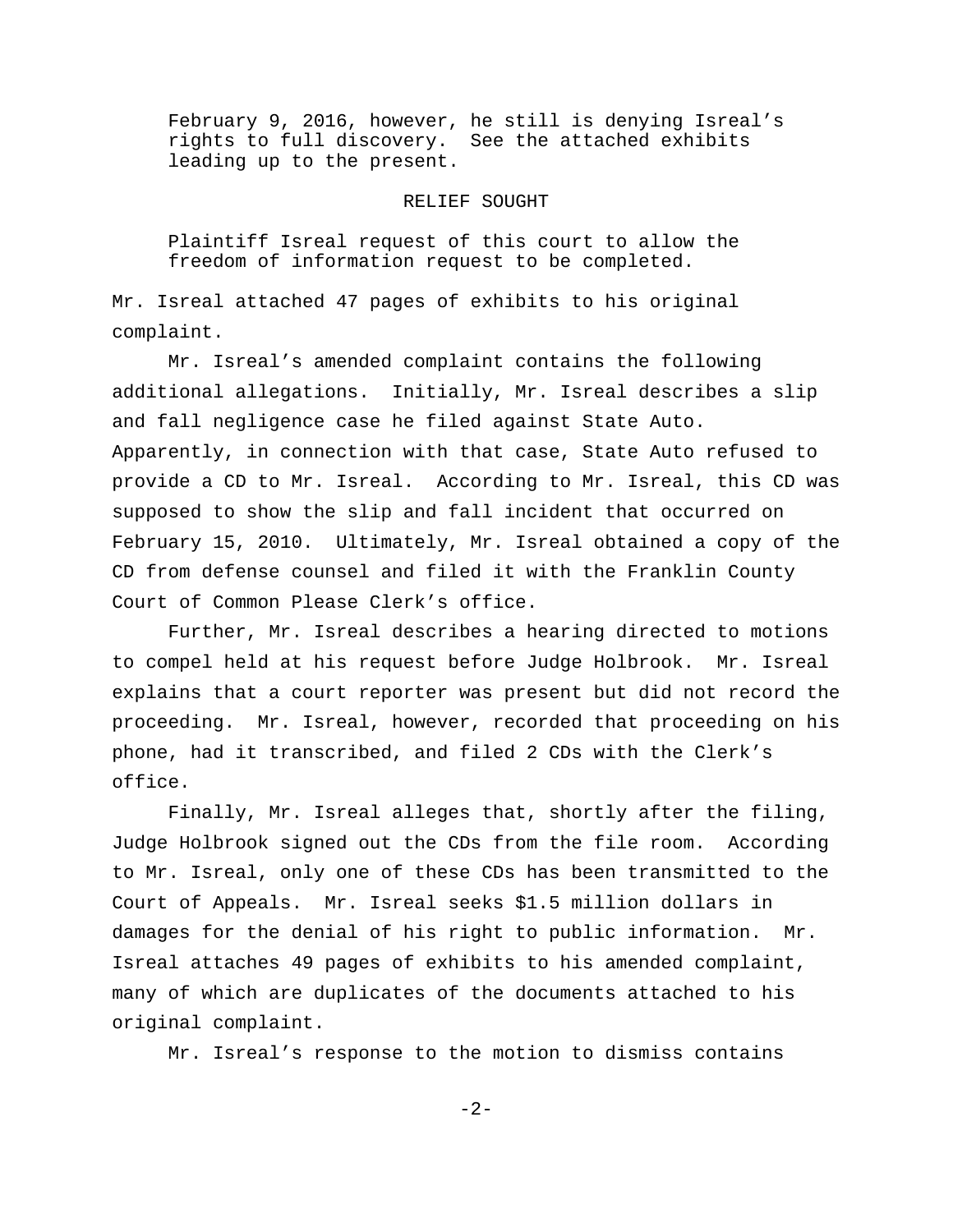February 9, 2016, however, he still is denying Isreal's rights to full discovery. See the attached exhibits leading up to the present.

#### RELIEF SOUGHT

Plaintiff Isreal request of this court to allow the freedom of information request to be completed.

Mr. Isreal attached 47 pages of exhibits to his original complaint.

Mr. Isreal's amended complaint contains the following additional allegations. Initially, Mr. Isreal describes a slip and fall negligence case he filed against State Auto. Apparently, in connection with that case, State Auto refused to provide a CD to Mr. Isreal. According to Mr. Isreal, this CD was supposed to show the slip and fall incident that occurred on February 15, 2010. Ultimately, Mr. Isreal obtained a copy of the CD from defense counsel and filed it with the Franklin County Court of Common Please Clerk's office.

Further, Mr. Isreal describes a hearing directed to motions to compel held at his request before Judge Holbrook. Mr. Isreal explains that a court reporter was present but did not record the proceeding. Mr. Isreal, however, recorded that proceeding on his phone, had it transcribed, and filed 2 CDs with the Clerk's office.

Finally, Mr. Isreal alleges that, shortly after the filing, Judge Holbrook signed out the CDs from the file room. According to Mr. Isreal, only one of these CDs has been transmitted to the Court of Appeals. Mr. Isreal seeks \$1.5 million dollars in damages for the denial of his right to public information. Mr. Isreal attaches 49 pages of exhibits to his amended complaint, many of which are duplicates of the documents attached to his original complaint.

Mr. Isreal's response to the motion to dismiss contains

-2-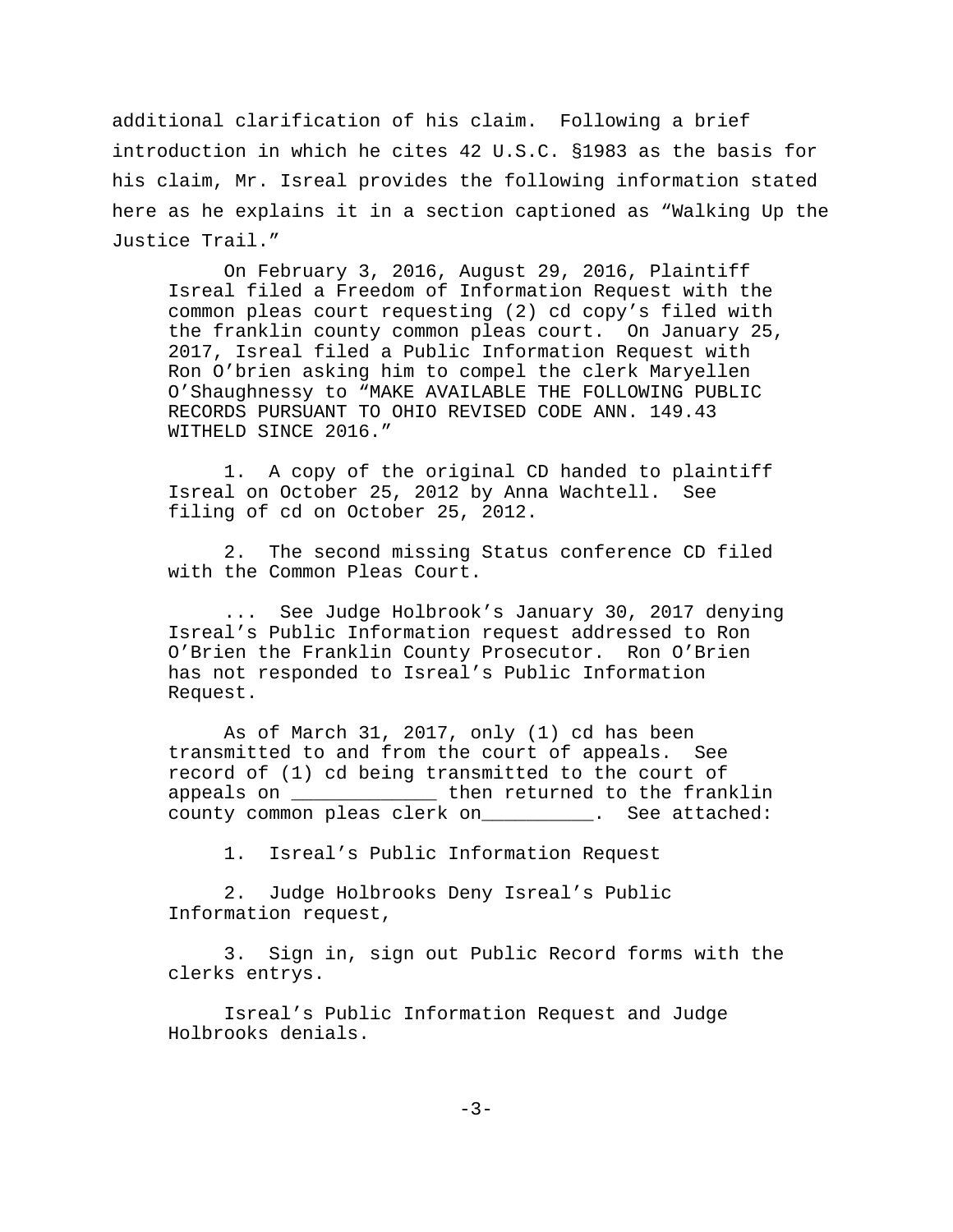additional clarification of his claim. Following a brief introduction in which he cites 42 U.S.C. §1983 as the basis for his claim, Mr. Isreal provides the following information stated here as he explains it in a section captioned as "Walking Up the Justice Trail."

On February 3, 2016, August 29, 2016, Plaintiff Isreal filed a Freedom of Information Request with the common pleas court requesting (2) cd copy's filed with the franklin county common pleas court. On January 25, 2017, Isreal filed a Public Information Request with Ron O'brien asking him to compel the clerk Maryellen O'Shaughnessy to "MAKE AVAILABLE THE FOLLOWING PUBLIC RECORDS PURSUANT TO OHIO REVISED CODE ANN. 149.43 WITHELD SINCE 2016."

1. A copy of the original CD handed to plaintiff Isreal on October 25, 2012 by Anna Wachtell. See filing of cd on October 25, 2012.

2. The second missing Status conference CD filed with the Common Pleas Court.

... See Judge Holbrook's January 30, 2017 denying Isreal's Public Information request addressed to Ron O'Brien the Franklin County Prosecutor. Ron O'Brien has not responded to Isreal's Public Information Request.

As of March 31, 2017, only (1) cd has been transmitted to and from the court of appeals. See record of (1) cd being transmitted to the court of appeals on \_\_\_\_\_\_\_\_\_\_\_\_\_ then returned to the franklin county common pleas clerk on\_\_\_\_\_\_\_\_\_\_. See attached:

1. Isreal's Public Information Request

2. Judge Holbrooks Deny Isreal's Public Information request,

3. Sign in, sign out Public Record forms with the clerks entrys.

Isreal's Public Information Request and Judge Holbrooks denials.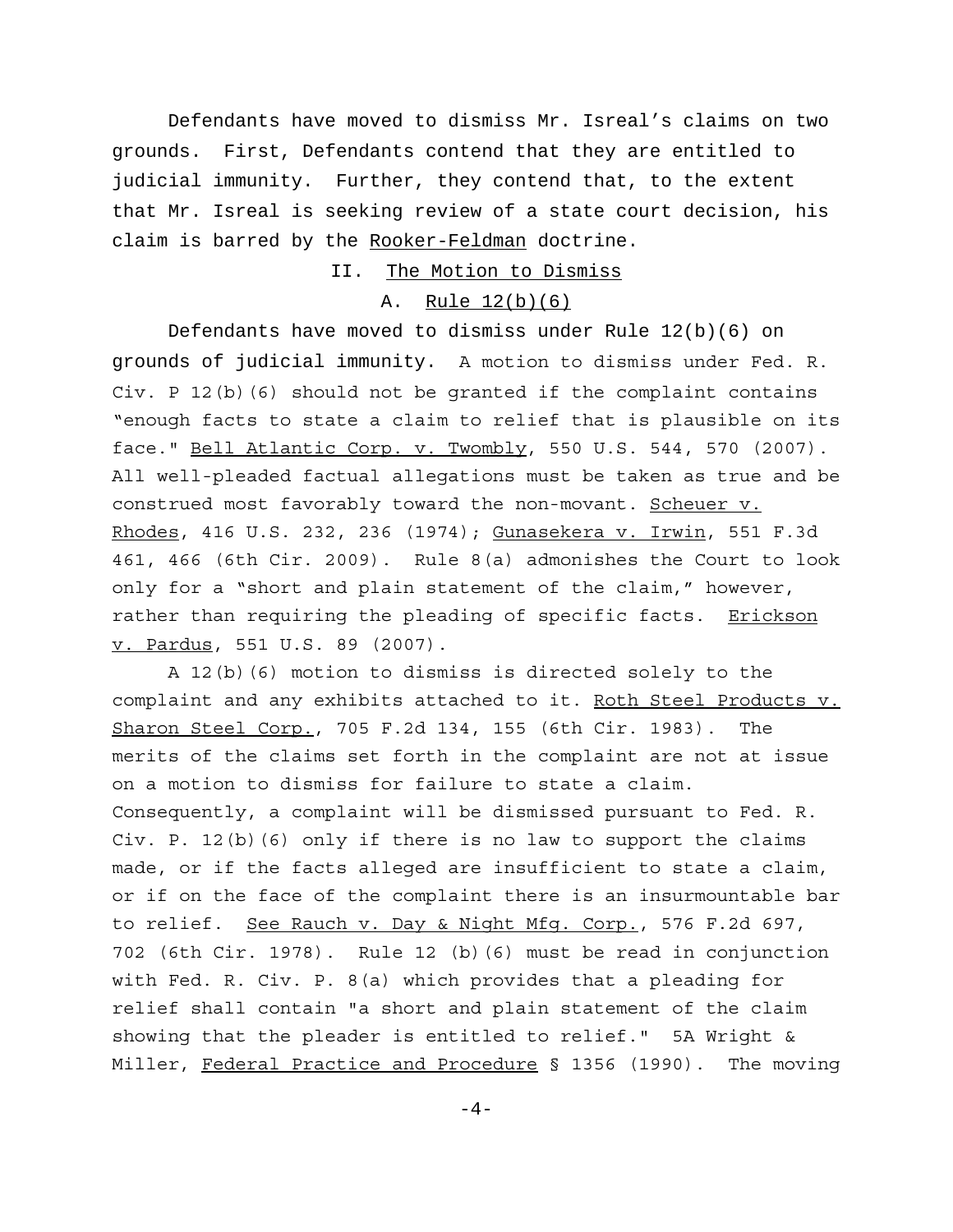Defendants have moved to dismiss Mr. Isreal's claims on two grounds. First, Defendants contend that they are entitled to judicial immunity. Further, they contend that, to the extent that Mr. Isreal is seeking review of a state court decision, his claim is barred by the Rooker-Feldman doctrine.

II. The Motion to Dismiss

## A. Rule 12(b)(6)

Defendants have moved to dismiss under Rule 12(b)(6) on grounds of judicial immunity. A motion to dismiss under Fed. R. Civ. P 12(b)(6) should not be granted if the complaint contains "enough facts to state a claim to relief that is plausible on its face." Bell Atlantic Corp. v. Twombly, 550 U.S. 544, 570 (2007). All well-pleaded factual allegations must be taken as true and be construed most favorably toward the non-movant. Scheuer v. Rhodes, 416 U.S. 232, 236 (1974); Gunasekera v. Irwin, 551 F.3d 461, 466 (6th Cir. 2009). Rule 8(a) admonishes the Court to look only for a "short and plain statement of the claim," however, rather than requiring the pleading of specific facts. Erickson v. Pardus, 551 U.S. 89 (2007).

A 12(b)(6) motion to dismiss is directed solely to the complaint and any exhibits attached to it. Roth Steel Products v. Sharon Steel Corp., 705 F.2d 134, 155 (6th Cir. 1983). The merits of the claims set forth in the complaint are not at issue on a motion to dismiss for failure to state a claim. Consequently, a complaint will be dismissed pursuant to Fed. R. Civ. P. 12(b)(6) only if there is no law to support the claims made, or if the facts alleged are insufficient to state a claim, or if on the face of the complaint there is an insurmountable bar to relief. See Rauch v. Day & Night Mfg. Corp., 576 F.2d 697, 702 (6th Cir. 1978). Rule 12 (b)(6) must be read in conjunction with Fed. R. Civ. P. 8(a) which provides that a pleading for relief shall contain "a short and plain statement of the claim showing that the pleader is entitled to relief." 5A Wright & Miller, Federal Practice and Procedure § 1356 (1990). The moving

 $-4-$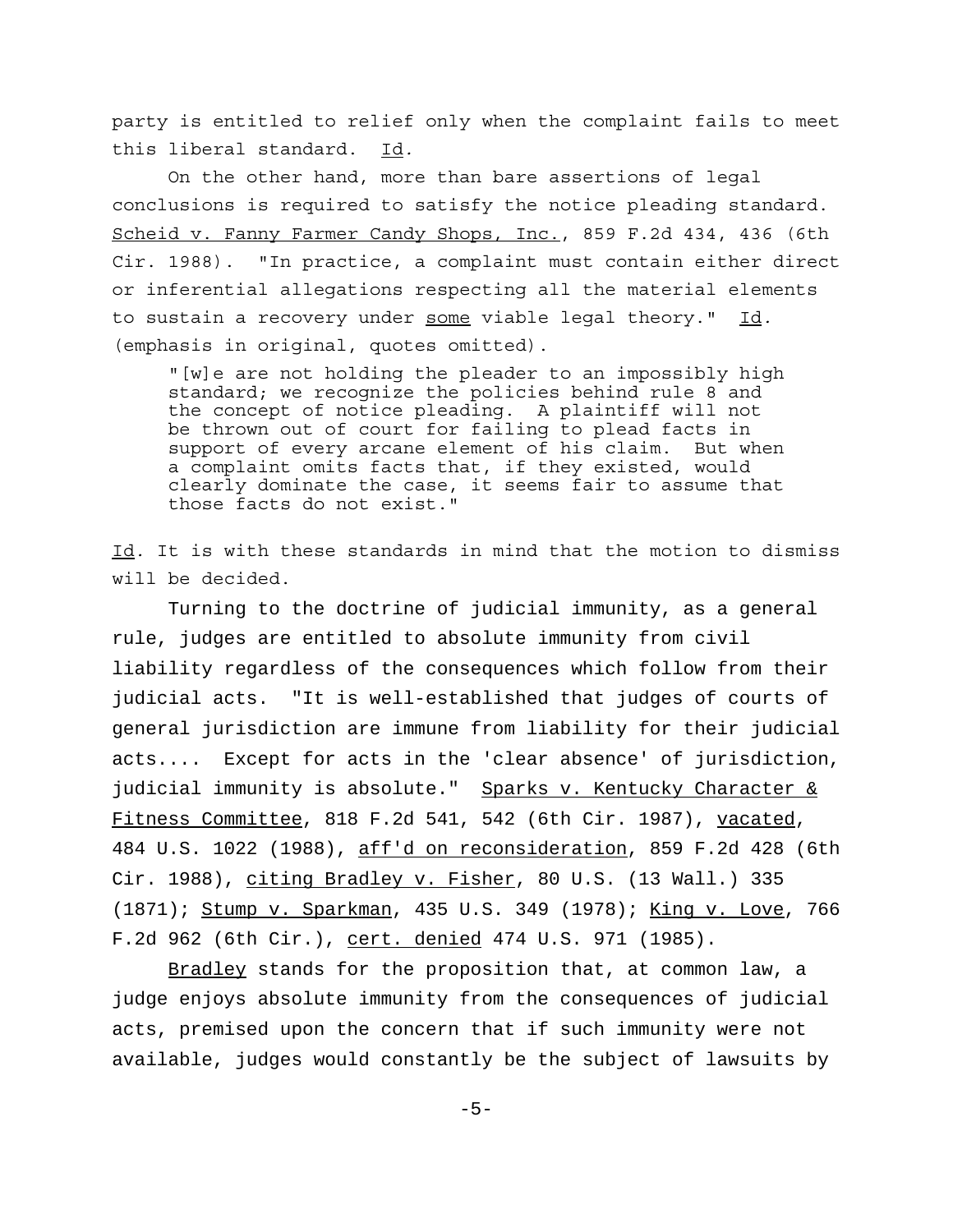party is entitled to relief only when the complaint fails to meet this liberal standard. Id.

On the other hand, more than bare assertions of legal conclusions is required to satisfy the notice pleading standard. Scheid v. Fanny Farmer Candy Shops, Inc., 859 F.2d 434, 436 (6th Cir. 1988). "In practice, a complaint must contain either direct or inferential allegations respecting all the material elements to sustain a recovery under some viable legal theory." Id. (emphasis in original, quotes omitted).

"[w]e are not holding the pleader to an impossibly high standard; we recognize the policies behind rule 8 and the concept of notice pleading. A plaintiff will not be thrown out of court for failing to plead facts in support of every arcane element of his claim. But when a complaint omits facts that, if they existed, would clearly dominate the case, it seems fair to assume that those facts do not exist."

Id. It is with these standards in mind that the motion to dismiss will be decided.

Turning to the doctrine of judicial immunity, as a general rule, judges are entitled to absolute immunity from civil liability regardless of the consequences which follow from their judicial acts. "It is well-established that judges of courts of general jurisdiction are immune from liability for their judicial acts.... Except for acts in the 'clear absence' of jurisdiction, judicial immunity is absolute." Sparks v. Kentucky Character & Fitness Committee, 818 F.2d 541, 542 (6th Cir. 1987), vacated, 484 U.S. 1022 (1988), aff'd on reconsideration, 859 F.2d 428 (6th Cir. 1988), citing Bradley v. Fisher, 80 U.S. (13 Wall.) 335 (1871); Stump v. Sparkman, 435 U.S. 349 (1978); King v. Love, 766 F.2d 962 (6th Cir.), cert. denied 474 U.S. 971 (1985).

Bradley stands for the proposition that, at common law, a judge enjoys absolute immunity from the consequences of judicial acts, premised upon the concern that if such immunity were not available, judges would constantly be the subject of lawsuits by

 $-5-$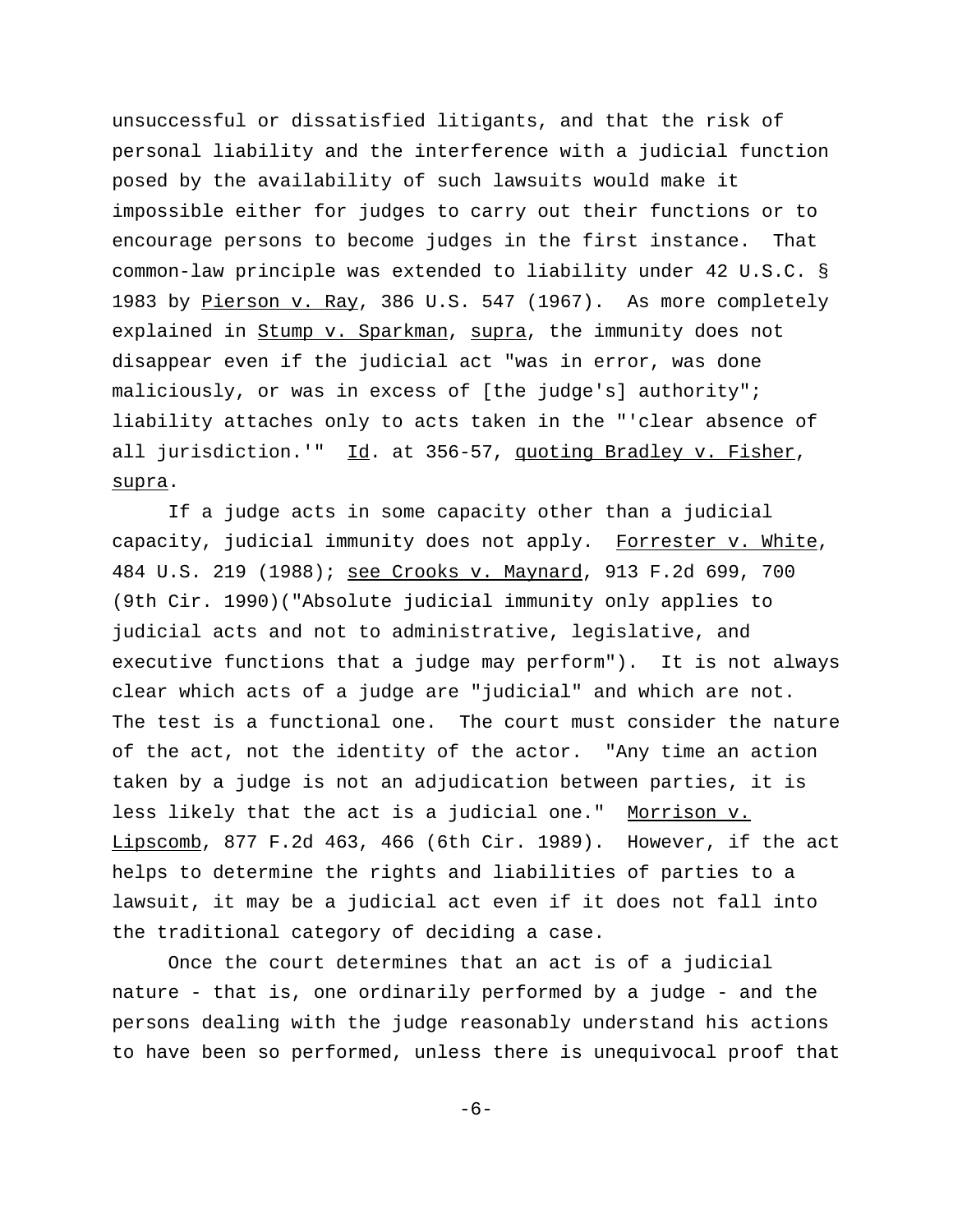unsuccessful or dissatisfied litigants, and that the risk of personal liability and the interference with a judicial function posed by the availability of such lawsuits would make it impossible either for judges to carry out their functions or to encourage persons to become judges in the first instance. That common-law principle was extended to liability under 42 U.S.C. § 1983 by Pierson v. Ray, 386 U.S. 547 (1967). As more completely explained in Stump v. Sparkman, supra, the immunity does not disappear even if the judicial act "was in error, was done maliciously, or was in excess of [the judge's] authority"; liability attaches only to acts taken in the "'clear absence of all jurisdiction.'" Id. at 356-57, quoting Bradley v. Fisher, supra.

If a judge acts in some capacity other than a judicial capacity, judicial immunity does not apply. Forrester v. White, 484 U.S. 219 (1988); see Crooks v. Maynard, 913 F.2d 699, 700 (9th Cir. 1990)("Absolute judicial immunity only applies to judicial acts and not to administrative, legislative, and executive functions that a judge may perform"). It is not always clear which acts of a judge are "judicial" and which are not. The test is a functional one. The court must consider the nature of the act, not the identity of the actor. "Any time an action taken by a judge is not an adjudication between parties, it is less likely that the act is a judicial one." Morrison v. Lipscomb, 877 F.2d 463, 466 (6th Cir. 1989). However, if the act helps to determine the rights and liabilities of parties to a lawsuit, it may be a judicial act even if it does not fall into the traditional category of deciding a case.

Once the court determines that an act is of a judicial nature - that is, one ordinarily performed by a judge - and the persons dealing with the judge reasonably understand his actions to have been so performed, unless there is unequivocal proof that

-6-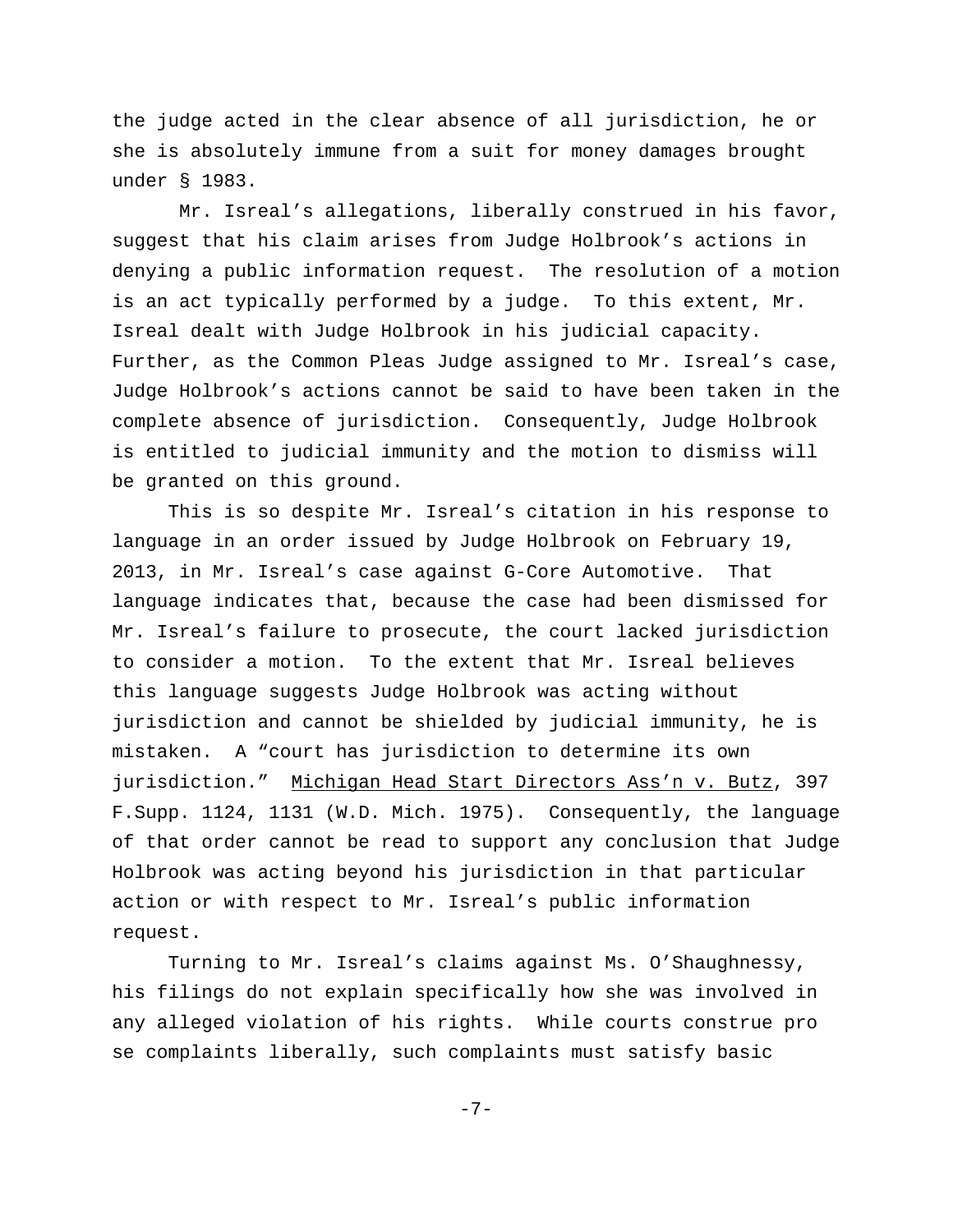the judge acted in the clear absence of all jurisdiction, he or she is absolutely immune from a suit for money damages brought under § 1983.

 Mr. Isreal's allegations, liberally construed in his favor, suggest that his claim arises from Judge Holbrook's actions in denying a public information request. The resolution of a motion is an act typically performed by a judge. To this extent, Mr. Isreal dealt with Judge Holbrook in his judicial capacity. Further, as the Common Pleas Judge assigned to Mr. Isreal's case, Judge Holbrook's actions cannot be said to have been taken in the complete absence of jurisdiction. Consequently, Judge Holbrook is entitled to judicial immunity and the motion to dismiss will be granted on this ground.

This is so despite Mr. Isreal's citation in his response to language in an order issued by Judge Holbrook on February 19, 2013, in Mr. Isreal's case against G-Core Automotive. That language indicates that, because the case had been dismissed for Mr. Isreal's failure to prosecute, the court lacked jurisdiction to consider a motion. To the extent that Mr. Isreal believes this language suggests Judge Holbrook was acting without jurisdiction and cannot be shielded by judicial immunity, he is mistaken. A "court has jurisdiction to determine its own jurisdiction." Michigan Head Start Directors Ass'n v. Butz, 397 F.Supp. 1124, 1131 (W.D. Mich. 1975). Consequently, the language of that order cannot be read to support any conclusion that Judge Holbrook was acting beyond his jurisdiction in that particular action or with respect to Mr. Isreal's public information request.

Turning to Mr. Isreal's claims against Ms. O'Shaughnessy, his filings do not explain specifically how she was involved in any alleged violation of his rights. While courts construe pro se complaints liberally, such complaints must satisfy basic

-7-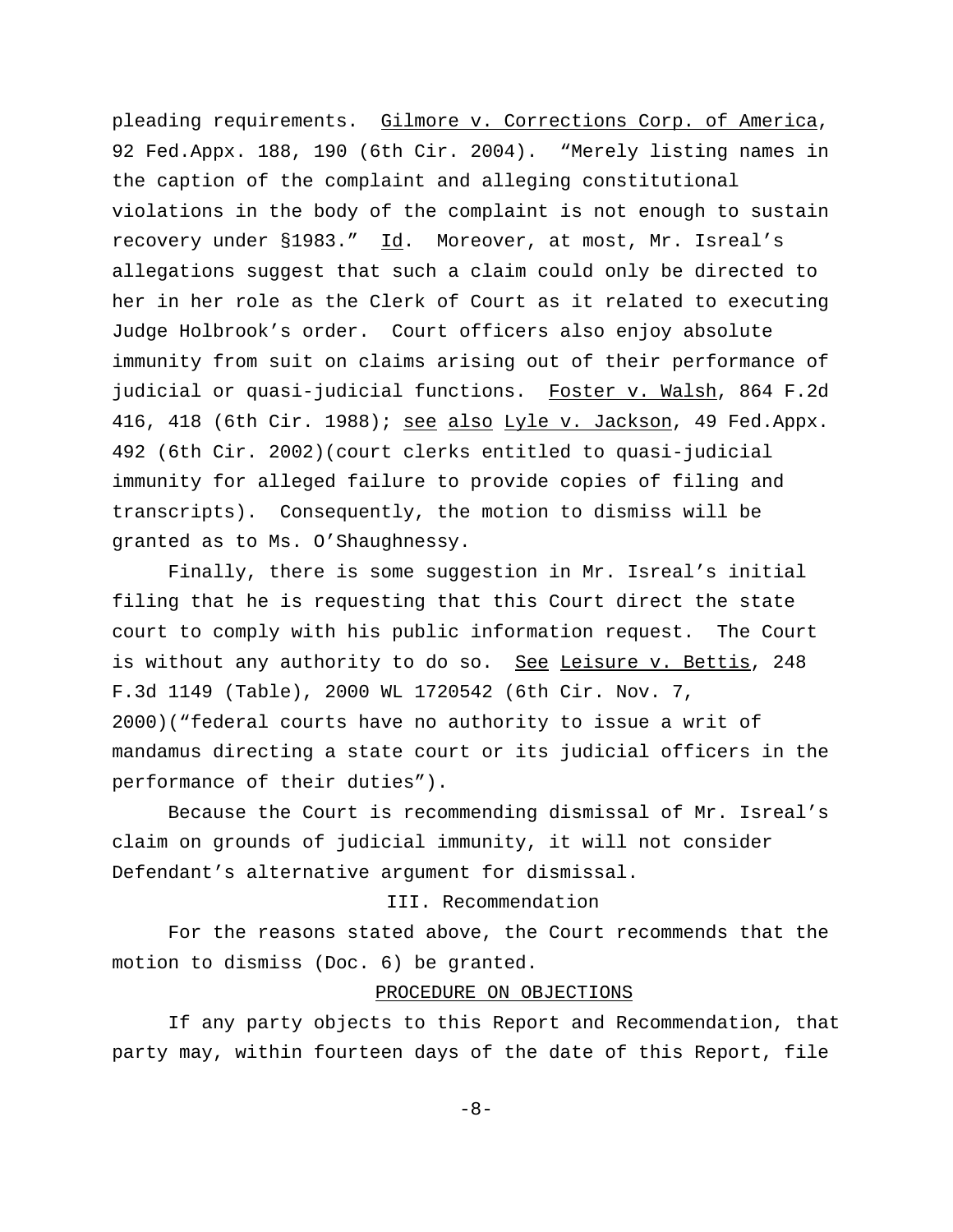pleading requirements. Gilmore v. Corrections Corp. of America, 92 Fed.Appx. 188, 190 (6th Cir. 2004). "Merely listing names in the caption of the complaint and alleging constitutional violations in the body of the complaint is not enough to sustain recovery under §1983." Id. Moreover, at most, Mr. Isreal's allegations suggest that such a claim could only be directed to her in her role as the Clerk of Court as it related to executing Judge Holbrook's order. Court officers also enjoy absolute immunity from suit on claims arising out of their performance of judicial or quasi-judicial functions. Foster v. Walsh, 864 F.2d 416, 418 (6th Cir. 1988); see also Lyle v. Jackson, 49 Fed.Appx. 492 (6th Cir. 2002)(court clerks entitled to quasi-judicial immunity for alleged failure to provide copies of filing and transcripts). Consequently, the motion to dismiss will be granted as to Ms. O'Shaughnessy.

Finally, there is some suggestion in Mr. Isreal's initial filing that he is requesting that this Court direct the state court to comply with his public information request. The Court is without any authority to do so. See Leisure v. Bettis, 248 F.3d 1149 (Table), 2000 WL 1720542 (6th Cir. Nov. 7, 2000)("federal courts have no authority to issue a writ of mandamus directing a state court or its judicial officers in the performance of their duties").

Because the Court is recommending dismissal of Mr. Isreal's claim on grounds of judicial immunity, it will not consider Defendant's alternative argument for dismissal.

# III. Recommendation

For the reasons stated above, the Court recommends that the motion to dismiss (Doc. 6) be granted.

### PROCEDURE ON OBJECTIONS

If any party objects to this Report and Recommendation, that party may, within fourteen days of the date of this Report, file

-8-